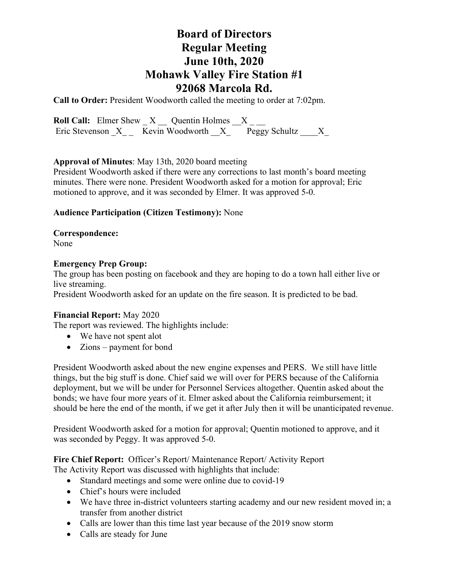# **Board of Directors Regular Meeting June 10th, 2020 Mohawk Valley Fire Station #1 92068 Marcola Rd.**

**Call to Order:** President Woodworth called the meeting to order at 7:02pm.

**Roll Call:** Elmer Shew  $X$   $\_\_$  Quentin Holmes  $X$   $\_\_$ Eric Stevenson  $X$  Kevin Woodworth  $X$  Peggy Schultz X

# **Approval of Minutes**: May 13th, 2020 board meeting

President Woodworth asked if there were any corrections to last month's board meeting minutes. There were none. President Woodworth asked for a motion for approval; Eric motioned to approve, and it was seconded by Elmer. It was approved 5-0.

# **Audience Participation (Citizen Testimony):** None

**Correspondence:**  None

# **Emergency Prep Group:**

The group has been posting on facebook and they are hoping to do a town hall either live or live streaming.

President Woodworth asked for an update on the fire season. It is predicted to be bad.

# **Financial Report:** May 2020

The report was reviewed. The highlights include:

- We have not spent alot
- Zions payment for bond

President Woodworth asked about the new engine expenses and PERS. We still have little things, but the big stuff is done. Chief said we will over for PERS because of the California deployment, but we will be under for Personnel Services altogether. Quentin asked about the bonds; we have four more years of it. Elmer asked about the California reimbursement; it should be here the end of the month, if we get it after July then it will be unanticipated revenue.

President Woodworth asked for a motion for approval; Quentin motioned to approve, and it was seconded by Peggy. It was approved 5-0.

**Fire Chief Report:** Officer's Report/ Maintenance Report/ Activity Report The Activity Report was discussed with highlights that include:

- Standard meetings and some were online due to covid-19
- Chief's hours were included
- We have three in-district volunteers starting academy and our new resident moved in; a transfer from another district
- Calls are lower than this time last year because of the 2019 snow storm
- Calls are steady for June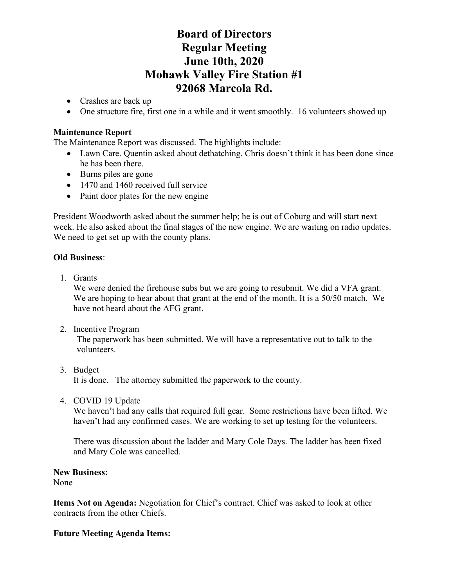# **Board of Directors Regular Meeting June 10th, 2020 Mohawk Valley Fire Station #1 92068 Marcola Rd.**

- Crashes are back up
- One structure fire, first one in a while and it went smoothly. 16 volunteers showed up

### **Maintenance Report**

The Maintenance Report was discussed. The highlights include:

- Lawn Care. Quentin asked about dethatching. Chris doesn't think it has been done since he has been there.
- Burns piles are gone
- 1470 and 1460 received full service
- Paint door plates for the new engine

President Woodworth asked about the summer help; he is out of Coburg and will start next week. He also asked about the final stages of the new engine. We are waiting on radio updates. We need to get set up with the county plans.

### **Old Business**:

1. Grants

We were denied the firehouse subs but we are going to resubmit. We did a VFA grant. We are hoping to hear about that grant at the end of the month. It is a 50/50 match. We have not heard about the AFG grant.

2. Incentive Program

The paperwork has been submitted. We will have a representative out to talk to the volunteers.

- 3. Budget It is done. The attorney submitted the paperwork to the county.
- 4. COVID 19 Update

We haven't had any calls that required full gear. Some restrictions have been lifted. We haven't had any confirmed cases. We are working to set up testing for the volunteers.

There was discussion about the ladder and Mary Cole Days. The ladder has been fixed and Mary Cole was cancelled.

#### **New Business:**

None

**Items Not on Agenda:** Negotiation for Chief's contract. Chief was asked to look at other contracts from the other Chiefs.

# **Future Meeting Agenda Items:**